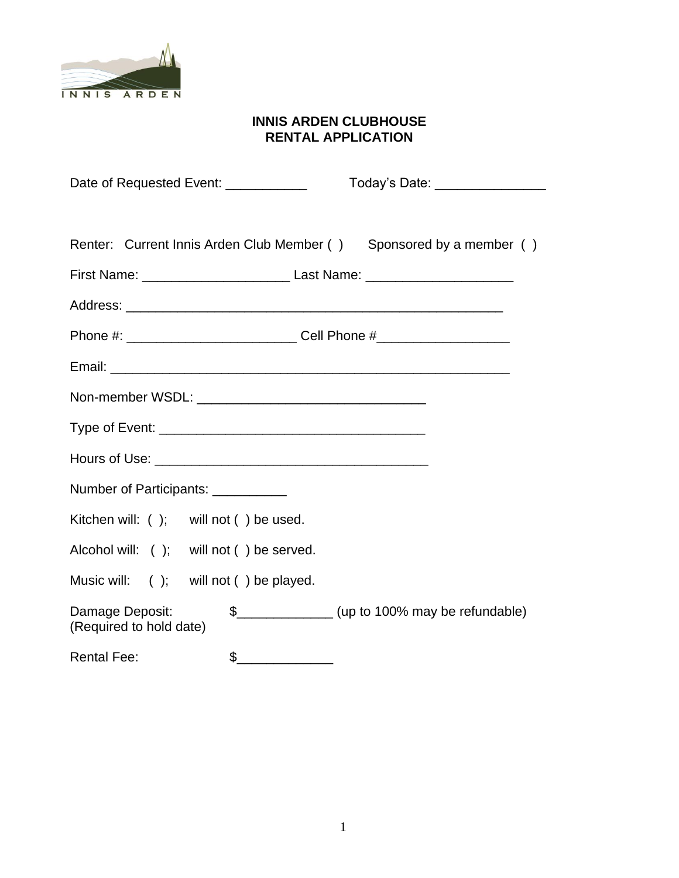

# **INNIS ARDEN CLUBHOUSE RENTAL APPLICATION**

| Date of Requested Event: ____________      | Today's Date: ________________                                      |
|--------------------------------------------|---------------------------------------------------------------------|
|                                            |                                                                     |
|                                            | Renter: Current Innis Arden Club Member () Sponsored by a member () |
|                                            |                                                                     |
|                                            |                                                                     |
|                                            |                                                                     |
|                                            |                                                                     |
|                                            |                                                                     |
|                                            |                                                                     |
|                                            |                                                                     |
| Number of Participants: ___________        |                                                                     |
| Kitchen will: ( ); will not ( ) be used.   |                                                                     |
| Alcohol will: ( ); will not ( ) be served. |                                                                     |
| Music will: ( ); will not ( ) be played.   |                                                                     |
| Damage Deposit:<br>(Required to hold date) | \$_________________(up to 100% may be refundable)                   |
| \$<br><b>Rental Fee:</b>                   |                                                                     |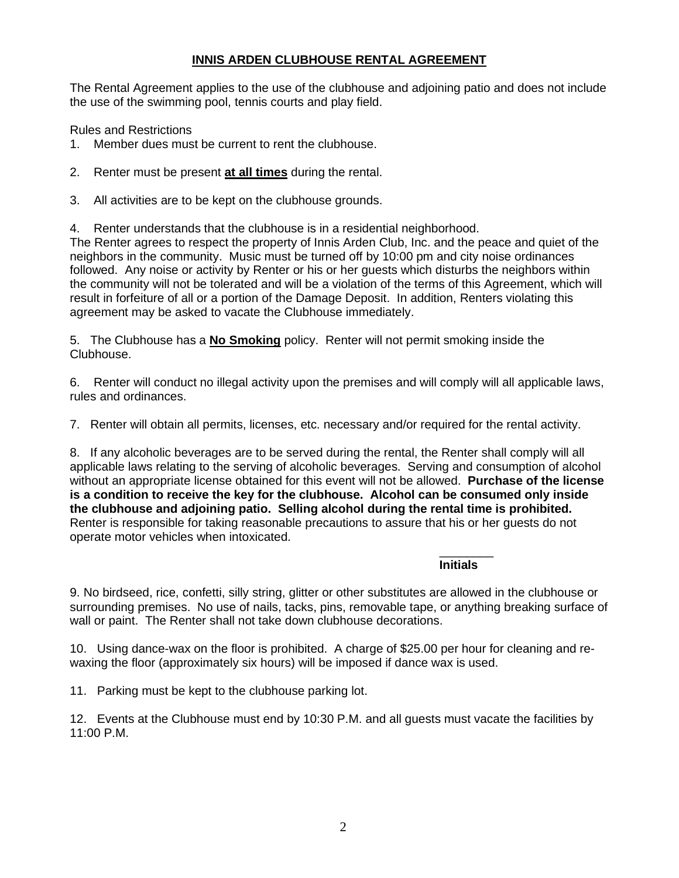## **INNIS ARDEN CLUBHOUSE RENTAL AGREEMENT**

The Rental Agreement applies to the use of the clubhouse and adjoining patio and does not include the use of the swimming pool, tennis courts and play field.

Rules and Restrictions

- 1. Member dues must be current to rent the clubhouse.
- 2. Renter must be present **at all times** during the rental.
- 3. All activities are to be kept on the clubhouse grounds.

4. Renter understands that the clubhouse is in a residential neighborhood.

The Renter agrees to respect the property of Innis Arden Club, Inc. and the peace and quiet of the neighbors in the community. Music must be turned off by 10:00 pm and city noise ordinances followed. Any noise or activity by Renter or his or her guests which disturbs the neighbors within the community will not be tolerated and will be a violation of the terms of this Agreement, which will result in forfeiture of all or a portion of the Damage Deposit. In addition, Renters violating this agreement may be asked to vacate the Clubhouse immediately.

5. The Clubhouse has a **No Smoking** policy. Renter will not permit smoking inside the Clubhouse.

6. Renter will conduct no illegal activity upon the premises and will comply will all applicable laws, rules and ordinances.

7. Renter will obtain all permits, licenses, etc. necessary and/or required for the rental activity.

8. If any alcoholic beverages are to be served during the rental, the Renter shall comply will all applicable laws relating to the serving of alcoholic beverages. Serving and consumption of alcohol without an appropriate license obtained for this event will not be allowed. **Purchase of the license is a condition to receive the key for the clubhouse. Alcohol can be consumed only inside the clubhouse and adjoining patio. Selling alcohol during the rental time is prohibited.**  Renter is responsible for taking reasonable precautions to assure that his or her guests do not operate motor vehicles when intoxicated.

#### \_\_\_\_\_\_\_\_ **Initials**

9. No birdseed, rice, confetti, silly string, glitter or other substitutes are allowed in the clubhouse or surrounding premises. No use of nails, tacks, pins, removable tape, or anything breaking surface of wall or paint. The Renter shall not take down clubhouse decorations.

10. Using dance-wax on the floor is prohibited. A charge of \$25.00 per hour for cleaning and rewaxing the floor (approximately six hours) will be imposed if dance wax is used.

11. Parking must be kept to the clubhouse parking lot.

12. Events at the Clubhouse must end by 10:30 P.M. and all guests must vacate the facilities by 11:00 P.M.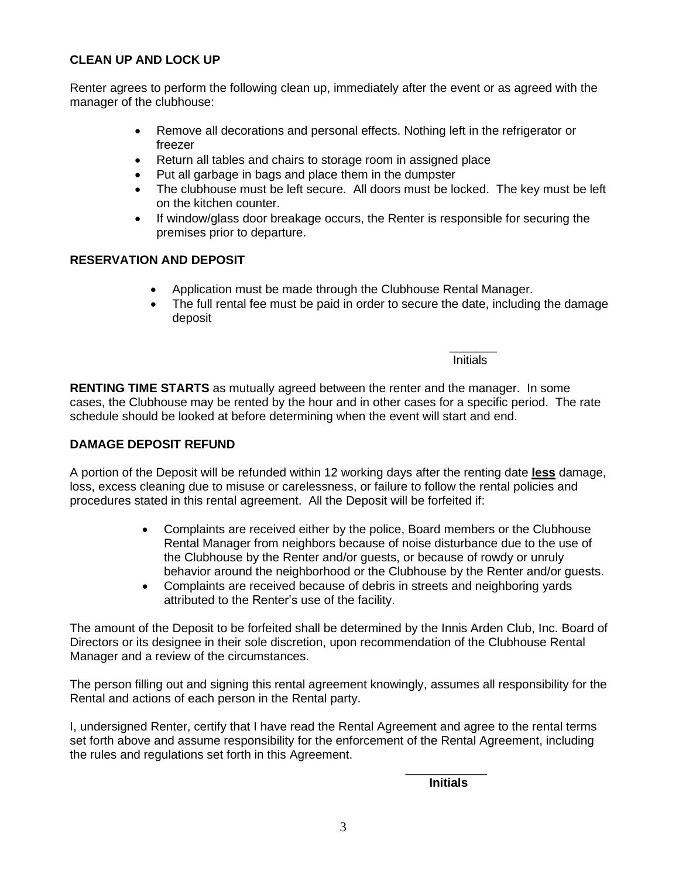## **CLEAN UP AND LOCK UP**

Renter agrees to perform the following clean up, immediately after the event or as agreed with the manager of the clubhouse:

- Remove all decorations and personal effects. Nothing left in the refrigerator or freezer
- Return all tables and chairs to storage room in assigned place
- Put all garbage in bags and place them in the dumpster
- The clubhouse must be left secure. All doors must be locked. The key must be left on the kitchen counter.
- If window/glass door breakage occurs, the Renter is responsible for securing the premises prior to departure.

#### **RESERVATION AND DEPOSIT**

- Application must be made through the Clubhouse Rental Manager.
- The full rental fee must be paid in order to secure the date, including the damage deposit

 $\mathcal{L}_\text{max}$  and  $\mathcal{L}_\text{max}$  are the set of the set of the set of the set of the set of the set of the set of the set of the set of the set of the set of the set of the set of the set of the set of the set of the set o **Initials** and the contract of the contract of the contract of the contract of the contract of the contract of the

**RENTING TIME STARTS** as mutually agreed between the renter and the manager. In some cases, the Clubhouse may be rented by the hour and in other cases for a specific period. The rate schedule should be looked at before determining when the event will start and end.

#### **DAMAGE DEPOSIT REFUND**

A portion of the Deposit will be refunded within 12 working days after the renting date **less** damage, loss, excess cleaning due to misuse or carelessness, or failure to follow the rental policies and procedures stated in this rental agreement. All the Deposit will be forfeited if:

- Complaints are received either by the police, Board members or the Clubhouse Rental Manager from neighbors because of noise disturbance due to the use of the Clubhouse by the Renter and/or guests, or because of rowdy or unruly behavior around the neighborhood or the Clubhouse by the Renter and/or guests.
- Complaints are received because of debris in streets and neighboring yards attributed to the Renter's use of the facility.

The amount of the Deposit to be forfeited shall be determined by the Innis Arden Club, Inc. Board of Directors or its designee in their sole discretion, upon recommendation of the Clubhouse Rental Manager and a review of the circumstances.

The person filling out and signing this rental agreement knowingly, assumes all responsibility for the Rental and actions of each person in the Rental party.

I, undersigned Renter, certify that I have read the Rental Agreement and agree to the rental terms set forth above and assume responsibility for the enforcement of the Rental Agreement, including the rules and regulations set forth in this Agreement.

\_\_\_\_\_\_\_\_\_\_\_\_

**Initials**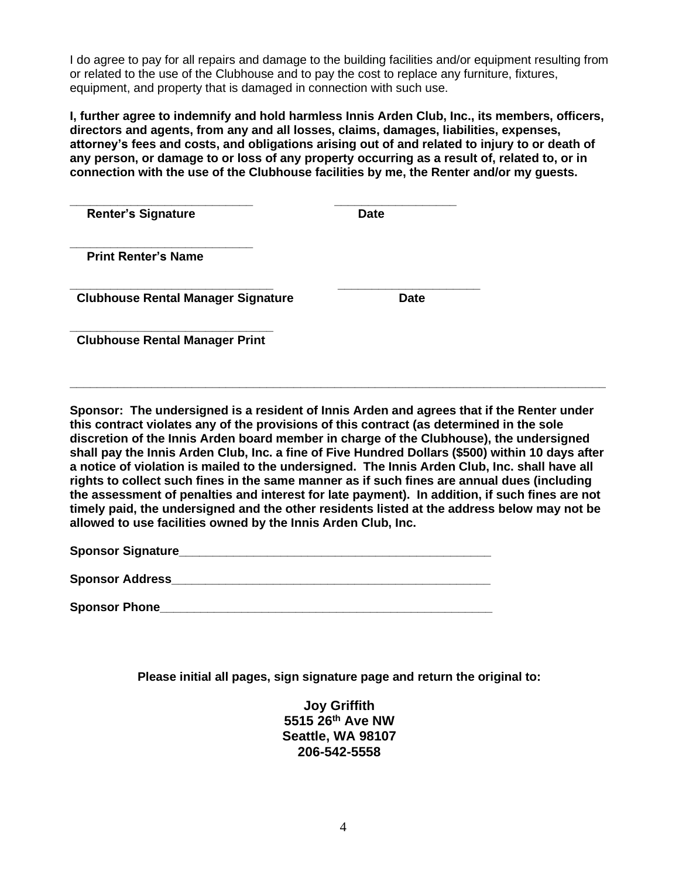I do agree to pay for all repairs and damage to the building facilities and/or equipment resulting from or related to the use of the Clubhouse and to pay the cost to replace any furniture, fixtures, equipment, and property that is damaged in connection with such use.

**I, further agree to indemnify and hold harmless Innis Arden Club, Inc., its members, officers, directors and agents, from any and all losses, claims, damages, liabilities, expenses, attorney's fees and costs, and obligations arising out of and related to injury to or death of** any person, or damage to or loss of any property occurring as a result of, related to, or in **connection with the use of the Clubhouse facilities by me, the Renter and/or my guests.**

| <b>Renter's Signature</b>                 | <b>Date</b> |  |  |  |
|-------------------------------------------|-------------|--|--|--|
|                                           |             |  |  |  |
| <b>Print Renter's Name</b>                |             |  |  |  |
|                                           |             |  |  |  |
|                                           |             |  |  |  |
| <b>Clubhouse Rental Manager Signature</b> | <b>Date</b> |  |  |  |
|                                           |             |  |  |  |
| <b>Clubhouse Rental Manager Print</b>     |             |  |  |  |
|                                           |             |  |  |  |

**Sponsor: The undersigned is a resident of Innis Arden and agrees that if the Renter under this contract violates any of the provisions of this contract (as determined in the sole discretion of the Innis Arden board member in charge of the Clubhouse), the undersigned shall pay the Innis Arden Club, Inc. a fine of Five Hundred Dollars (\$500) within 10 days after a notice of violation is mailed to the undersigned. The Innis Arden Club, Inc. shall have all rights to collect such fines in the same manner as if such fines are annual dues (including the assessment of penalties and interest for late payment). In addition, if such fines are not timely paid, the undersigned and the other residents listed at the address below may not be allowed to use facilities owned by the Innis Arden Club, Inc.**

**\_\_\_\_\_\_\_\_\_\_\_\_\_\_\_\_\_\_\_\_\_\_\_\_\_\_\_\_\_\_\_\_\_\_\_\_\_\_\_\_\_\_\_\_\_\_\_\_\_\_\_\_\_\_\_\_\_\_\_\_\_\_\_\_\_\_\_\_\_\_\_\_\_\_\_\_\_\_\_**

**Sponsor Signature** 

| <b>Sponsor Address</b> |  |
|------------------------|--|
|                        |  |

**Sponsor Phone** 

**Please initial all pages, sign signature page and return the original to:**

**Joy Griffith 5515 26th Ave NW Seattle, WA 98107 206-542-5558**